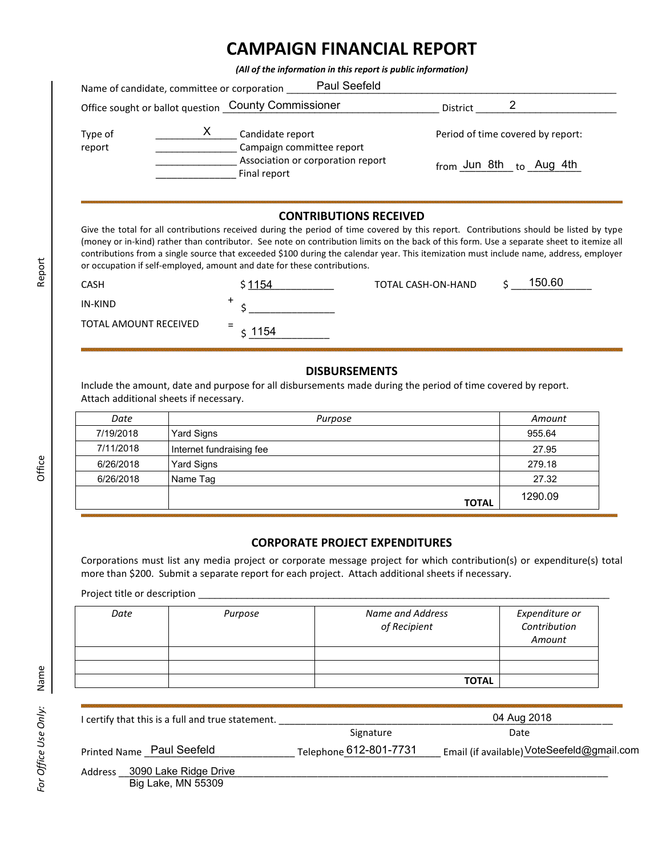## **CAMPAIGN FINANCIAL REPORT**

*(All of the information in this report is public information)*

|                   | Name of candidate, committee or corporation | Paul Seefeld                                         |                                       |                                   |
|-------------------|---------------------------------------------|------------------------------------------------------|---------------------------------------|-----------------------------------|
|                   |                                             | Office sought or ballot question County Commissioner | District                              |                                   |
| Type of<br>report |                                             | Candidate report<br>Campaign committee report        |                                       | Period of time covered by report: |
|                   |                                             | Association or corporation report<br>Final report    | <sub>from</sub> Jun 8th <sub>to</sub> | Aug 4th                           |

## **CONTRIBUTIONS RECEIVED**

Give the total for all contributions received during the period of time covered by this report. Contributions should be listed by type (money or in-kind) rather than contributor. See note on contribution limits on the back of this form. Use a separate sheet to itemize all contributions from a single source that exceeded \$100 during the calendar year. This itemization must include name, address, employer or occupation if self-employed, amount and date for these contributions.

| <b>CASH</b>           | \$1154      | TOTAL CASH-ON-HAND | 150.60 |
|-----------------------|-------------|--------------------|--------|
| IN-KIND               |             |                    |        |
| TOTAL AMOUNT RECEIVED | $=$<br>1154 |                    |        |

## **DISBURSEMENTS**

Include the amount, date and purpose for all disbursements made during the period of time covered by report. Attach additional sheets if necessary.

| Date      | Purpose                  | Amount  |
|-----------|--------------------------|---------|
| 7/19/2018 | Yard Signs               | 955.64  |
| 7/11/2018 | Internet fundraising fee | 27.95   |
| 6/26/2018 | Yard Signs               | 279.18  |
| 6/26/2018 | Name Tag                 | 27.32   |
|           | <b>TOTAL</b>             | 1290.09 |

## **CORPORATE PROJECT EXPENDITURES**

Corporations must list any media project or corporate message project for which contribution(s) or expenditure(s) total more than \$200. Submit a separate report for each project. Attach additional sheets if necessary.

Project title or description \_

| Date | Purpose | Name and Address<br>of Recipient | Expenditure or<br>Contribution<br>Amount |
|------|---------|----------------------------------|------------------------------------------|
|      |         |                                  |                                          |
|      |         |                                  |                                          |
|      |         | <b>TOTAL</b>                     |                                          |

| I certify that this is a full and true statement. |           | 04 Aug 2018                                |
|---------------------------------------------------|-----------|--------------------------------------------|
|                                                   | Signature | Date                                       |
| Printed Name Paul Seefeld                         |           | Email (if available) VoteSeefeld@gmail.com |
| 3090 Lake Ridge Drive<br>Address<br><br>----      |           |                                            |

Report

Big Lake, MN 55309